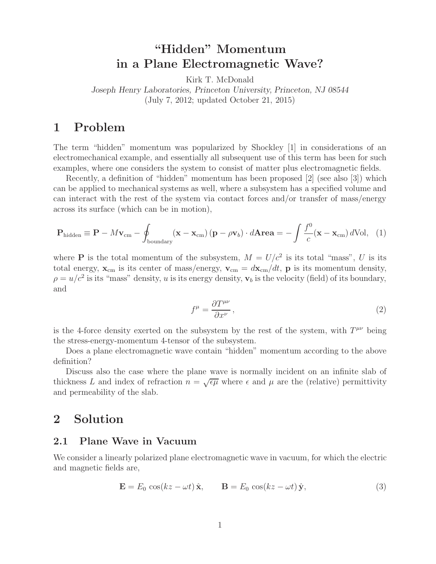# **"Hidden" Momentum in a Plane Electromagnetic Wave?**

Kirk T. McDonald

*Joseph Henry Laboratories, Princeton University, Princeton, NJ 08544* (July 7, 2012; updated October 21, 2015)

## **1 Problem**

The term "hidden" momentum was popularized by Shockley [1] in considerations of an electromechanical example, and essentially all subsequent use of this term has been for such examples, where one considers the system to consist of matter plus electromagnetic fields.

Recently, a definition of "hidden" momentum has been proposed [2] (see also [3]) which can be applied to mechanical systems as well, where a subsystem has a specified volume and can interact with the rest of the system via contact forces and/or transfer of mass/energy across its surface (which can be in motion),

$$
\mathbf{P}_{\text{hidden}} \equiv \mathbf{P} - M\mathbf{v}_{\text{cm}} - \oint_{\text{boundary}} (\mathbf{x} - \mathbf{x}_{\text{cm}}) (\mathbf{p} - \rho \mathbf{v}_b) \cdot d\mathbf{A} \mathbf{r} \mathbf{e} \mathbf{a} = -\int \frac{f^0}{c} (\mathbf{x} - \mathbf{x}_{\text{cm}}) d\text{Vol}, \quad (1)
$$

where **P** is the total momentum of the subsystem,  $M = U/c^2$  is its total "mass", U is its total energy,  $\mathbf{x}_{cm}$  is its center of mass/energy,  $\mathbf{v}_{cm} = d\mathbf{x}_{cm}/dt$ , **p** is its momentum density,  $\rho = u/c^2$  is its "mass" density, u is its energy density,  $\mathbf{v}_b$  is the velocity (field) of its boundary, and

$$
f^{\mu} = \frac{\partial T^{\mu\nu}}{\partial x^{\nu}},\tag{2}
$$

is the 4-force density exerted on the subsystem by the rest of the system, with  $T^{\mu\nu}$  being the stress-energy-momentum 4-tensor of the subsystem.

Does a plane electromagnetic wave contain "hidden" momentum according to the above definition?

Discuss also the case where the plane wave is normally incident on an infinite slab of thickness L and index of refraction  $n = \sqrt{\epsilon \mu}$  where  $\epsilon$  and  $\mu$  are the (relative) permittivity and permeability of the slab.

### **2 Solution**

### **2.1 Plane Wave in Vacuum**

We consider a linearly polarized plane electromagnetic wave in vacuum, for which the electric and magnetic fields are,

$$
\mathbf{E} = E_0 \cos(kz - \omega t) \hat{\mathbf{x}}, \qquad \mathbf{B} = E_0 \cos(kz - \omega t) \hat{\mathbf{y}}, \tag{3}
$$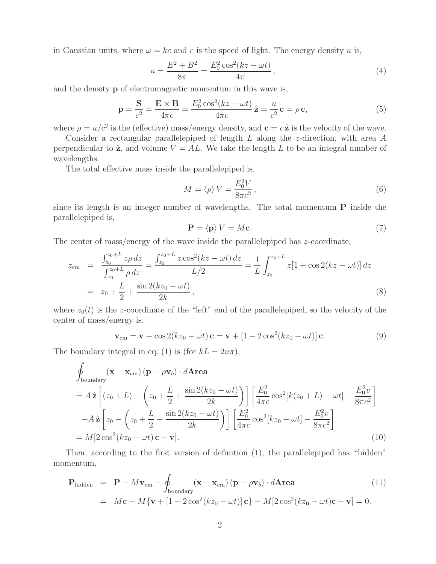in Gaussian units, where  $\omega = kc$  and c is the speed of light. The energy density u is,

$$
u = \frac{E^2 + B^2}{8\pi} = \frac{E_0^2 \cos^2(kz - \omega t)}{4\pi},
$$
\n(4)

and the density **p** of electromagnetic momentum in this wave is,

$$
\mathbf{p} = \frac{\mathbf{S}}{c^2} = \frac{\mathbf{E} \times \mathbf{B}}{4\pi c} = \frac{E_0^2 \cos^2(kz - \omega t)}{4\pi c} \hat{\mathbf{z}} = \frac{u}{c^2} \mathbf{c} = \rho \mathbf{c},\tag{5}
$$

where  $\rho = u/c^2$  is the (effective) mass/energy density, and  $\mathbf{c} = c\hat{\mathbf{z}}$  is the velocity of the wave.

Consider a rectangular parallelepiped of length L along the z-direction, with area A perpendicular to  $\hat{\mathbf{z}}$ , and volume  $V = AL$ . We take the length L to be an integral number of wavelengths.

The total effective mass inside the parallelepiped is,

$$
M = \langle \rho \rangle V = \frac{E_0^2 V}{8\pi c^2},\tag{6}
$$

since its length is an integer number of wavelengths. The total momentum **P** inside the parallelepiped is,

$$
\mathbf{P} = \langle \mathbf{p} \rangle V = M\mathbf{c}.\tag{7}
$$

The center of mass/energy of the wave inside the parallelepiped has z-coordinate,

$$
z_{\rm cm} = \frac{\int_{z_0}^{z_0 + L} z \rho \, dz}{\int_{z_0}^{z_0 + L} \rho \, dz} = \frac{\int_{z_0}^{z_0 + L} z \cos^2(kz - \omega t) \, dz}{L/2} = \frac{1}{L} \int_{z_0}^{z_0 + L} z[1 + \cos 2(kz - \omega t)] \, dz
$$
  
=  $z_0 + \frac{L}{2} + \frac{\sin 2(kz_0 - \omega t)}{2k}$ , (8)

where  $z_0(t)$  is the z-coordinate of the "left" end of the parallelepiped, so the velocity of the center of mass/energy is,

$$
\mathbf{v}_{\rm cm} = \mathbf{v} - \cos 2(kz_0 - \omega t) \mathbf{c} = \mathbf{v} + [1 - 2\cos^2(kz_0 - \omega t)] \mathbf{c}.
$$
 (9)

The boundary integral in eq. (1) is (for  $kL = 2n\pi$ ),

$$
\oint_{\text{boundary}} (\mathbf{x} - \mathbf{x}_{\text{cm}}) (\mathbf{p} - \rho \mathbf{v}_b) \cdot d\mathbf{Area} \n= A \hat{\mathbf{z}} \left[ (z_0 + L) - \left( z_0 + \frac{L}{2} + \frac{\sin 2(kz_0 - \omega t)}{2k} \right) \right] \left[ \frac{E_0^2}{4\pi c} \cos^2[k(z_0 + L) - \omega t] - \frac{E_0^2 v}{8\pi c^2} \right] \n- A \hat{\mathbf{z}} \left[ z_0 - \left( z_0 + \frac{L}{2} + \frac{\sin 2(kz_0 - \omega t)}{2k} \right) \right] \left[ \frac{E_0^2}{4\pi c} \cos^2[kz_0 - \omega t] - \frac{E_0^2 v}{8\pi c^2} \right] \n= M[2 \cos^2(kz_0 - \omega t) \mathbf{c} - \mathbf{v}].
$$
\n(10)

Then, according to the first version of definition (1), the parallelepiped has "hidden" momentum,

$$
\mathbf{P}_{\text{hidden}} = \mathbf{P} - M\mathbf{v}_{\text{cm}} - \oint_{\text{boundary}} (\mathbf{x} - \mathbf{x}_{\text{cm}}) (\mathbf{p} - \rho \mathbf{v}_b) \cdot d\mathbf{A} \mathbf{r} \mathbf{e} \tag{11}
$$
\n
$$
= M\mathbf{c} - M\{\mathbf{v} + [1 - 2\cos^2(kz_0 - \omega t)] \mathbf{c}\} - M[2\cos^2(kz_0 - \omega t)\mathbf{c} - \mathbf{v}] = 0.
$$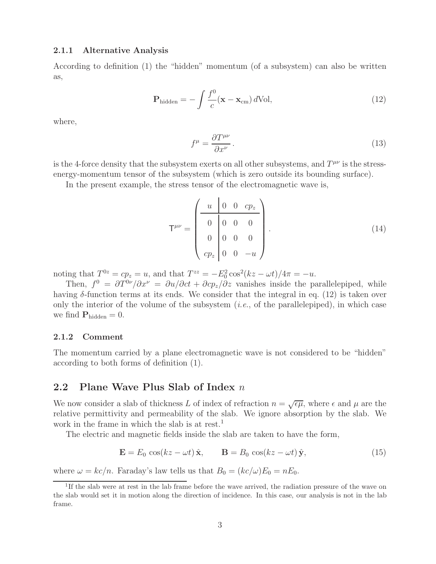#### **2.1.1 Alternative Analysis**

According to definition (1) the "hidden" momentum (of a subsystem) can also be written as,

$$
\mathbf{P}_{\text{hidden}} = -\int \frac{f^0}{c} (\mathbf{x} - \mathbf{x}_{\text{cm}}) \, d\text{Vol}, \tag{12}
$$

where,

$$
f^{\mu} = \frac{\partial T^{\mu\nu}}{\partial x^{\nu}}.
$$
\n(13)

is the 4-force density that the subsystem exerts on all other subsystems, and  $T^{\mu\nu}$  is the stressenergy-momentum tensor of the subsystem (which is zero outside its bounding surface).

In the present example, the stress tensor of the electromagnetic wave is,

$$
\mathsf{T}^{\mu\nu} = \begin{pmatrix} u & 0 & 0 & cp_z \\ 0 & 0 & 0 & 0 \\ 0 & 0 & 0 & 0 \\ cp_z & 0 & 0 & -u \end{pmatrix} . \tag{14}
$$

noting that  $T^{0z} = cp_z = u$ , and that  $T^{zz} = -E_0^2 \cos^2(kz - \omega t)/4\pi = -u$ .

Then,  $f^0 = \frac{\partial T^{0\nu}}{\partial x^{\nu}} = \frac{\partial u}{\partial ct} + \frac{\partial c p_z}{\partial z}$  vanishes inside the parallelepiped, while having  $\delta$ -function terms at its ends. We consider that the integral in eq. (12) is taken over only the interior of the volume of the subsystem  $(i.e.,$  of the parallelepiped), in which case we find  $P_{\text{hidden}} = 0$ .

#### **2.1.2 Comment**

The momentum carried by a plane electromagnetic wave is not considered to be "hidden" according to both forms of definition (1).

### **2.2 Plane Wave Plus Slab of Index** n

We now consider a slab of thickness L of index of refraction  $n = \sqrt{\epsilon \mu}$ , where  $\epsilon$  and  $\mu$  are the relative permittivity and permeability of the slab. We ignore absorption by the slab. We work in the frame in which the slab is at rest.<sup>1</sup>

The electric and magnetic fields inside the slab are taken to have the form,

$$
\mathbf{E} = E_0 \cos(kz - \omega t) \hat{\mathbf{x}}, \qquad \mathbf{B} = B_0 \cos(kz - \omega t) \hat{\mathbf{y}}, \tag{15}
$$

where  $\omega = kc/n$ . Faraday's law tells us that  $B_0 = (kc/\omega)E_0 = nE_0$ .

<sup>&</sup>lt;sup>1</sup>If the slab were at rest in the lab frame before the wave arrived, the radiation pressure of the wave on the slab would set it in motion along the direction of incidence. In this case, our analysis is not in the lab frame.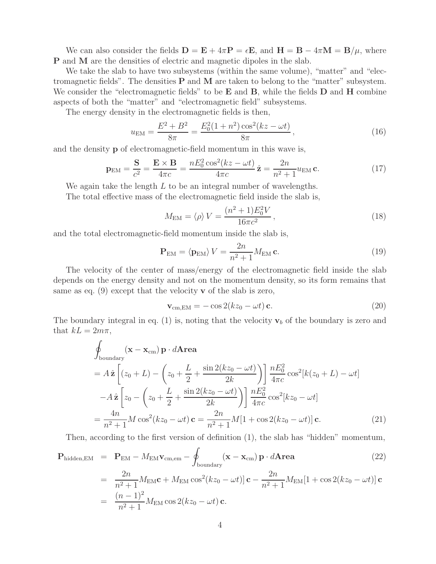We can also consider the fields  $\mathbf{D} = \mathbf{E} + 4\pi \mathbf{P} = \epsilon \mathbf{E}$ , and  $\mathbf{H} = \mathbf{B} - 4\pi \mathbf{M} = \mathbf{B}/\mu$ , where **P** and **M** are the densities of electric and magnetic dipoles in the slab.

We take the slab to have two subsystems (within the same volume), "matter" and "electromagnetic fields". The densities **P** and **M** are taken to belong to the "matter" subsystem. We consider the "electromagnetic fields" to be **E** and **B**, while the fields **D** and **H** combine aspects of both the "matter" and "electromagnetic field" subsystems.

The energy density in the electromagnetic fields is then,

$$
u_{\rm EM} = \frac{E^2 + B^2}{8\pi} = \frac{E_0^2 (1 + n^2) \cos^2(kz - \omega t)}{8\pi},\qquad(16)
$$

and the density **p** of electromagnetic-field momentum in this wave is,

$$
\mathbf{p}_{\text{EM}} = \frac{\mathbf{S}}{c^2} = \frac{\mathbf{E} \times \mathbf{B}}{4\pi c} = \frac{nE_0^2 \cos^2(kz - \omega t)}{4\pi c} \hat{\mathbf{z}} = \frac{2n}{n^2 + 1} u_{\text{EM}} \mathbf{c}.
$$
 (17)

We again take the length L to be an integral number of wavelengths.

The total effective mass of the electromagnetic field inside the slab is,

$$
M_{\text{EM}} = \langle \rho \rangle V = \frac{(n^2 + 1)E_0^2 V}{16\pi c^2},\qquad(18)
$$

and the total electromagnetic-field momentum inside the slab is,

$$
\mathbf{P}_{\text{EM}} = \langle \mathbf{p}_{\text{EM}} \rangle V = \frac{2n}{n^2 + 1} M_{\text{EM}} \mathbf{c}.
$$
 (19)

The velocity of the center of mass/energy of the electromagnetic field inside the slab depends on the energy density and not on the momentum density, so its form remains that same as eq. (9) except that the velocity **v** of the slab is zero,

$$
\mathbf{v}_{\rm cm, EM} = -\cos 2(kz_0 - \omega t) \,\mathbf{c}.\tag{20}
$$

The boundary integral in eq. (1) is, noting that the velocity  $\mathbf{v}_b$  of the boundary is zero and that  $kL = 2m\pi$ ,

$$
\oint_{\text{boundary}} (\mathbf{x} - \mathbf{x}_{\text{cm}}) \mathbf{p} \cdot d\mathbf{A} \mathbf{r} \mathbf{e} \mathbf{a}
$$
\n
$$
= A \hat{\mathbf{z}} \left[ (z_0 + L) - \left( z_0 + \frac{L}{2} + \frac{\sin 2(kz_0 - \omega t)}{2k} \right) \right] \frac{nE_0^2}{4\pi c} \cos^2[k(z_0 + L) - \omega t]
$$
\n
$$
- A \hat{\mathbf{z}} \left[ z_0 - \left( z_0 + \frac{L}{2} + \frac{\sin 2(kz_0 - \omega t)}{2k} \right) \right] \frac{nE_0^2}{4\pi c} \cos^2[kz_0 - \omega t]
$$
\n
$$
= \frac{4n}{n^2 + 1} M \cos^2(kz_0 - \omega t) \mathbf{c} = \frac{2n}{n^2 + 1} M[1 + \cos 2(kz_0 - \omega t)] \mathbf{c}.
$$
\n(21)

Then, according to the first version of definition (1), the slab has "hidden" momentum,

$$
\mathbf{P}_{\text{hidden,EM}} = \mathbf{P}_{\text{EM}} - M_{\text{EM}} \mathbf{v}_{\text{cm,em}} - \oint_{\text{boundary}} (\mathbf{x} - \mathbf{x}_{\text{cm}}) \mathbf{p} \cdot d\mathbf{Area}
$$
(22)

$$
= \frac{2n}{n^2+1} M_{\text{EM}} \mathbf{c} + M_{\text{EM}} \cos^2(kz_0 - \omega t) \mathbf{c} - \frac{2n}{n^2+1} M_{\text{EM}} [1 + \cos 2(kz_0 - \omega t)] \mathbf{c}
$$
  
= 
$$
\frac{(n-1)^2}{n^2+1} M_{\text{EM}} \cos 2(kz_0 - \omega t) \mathbf{c}.
$$